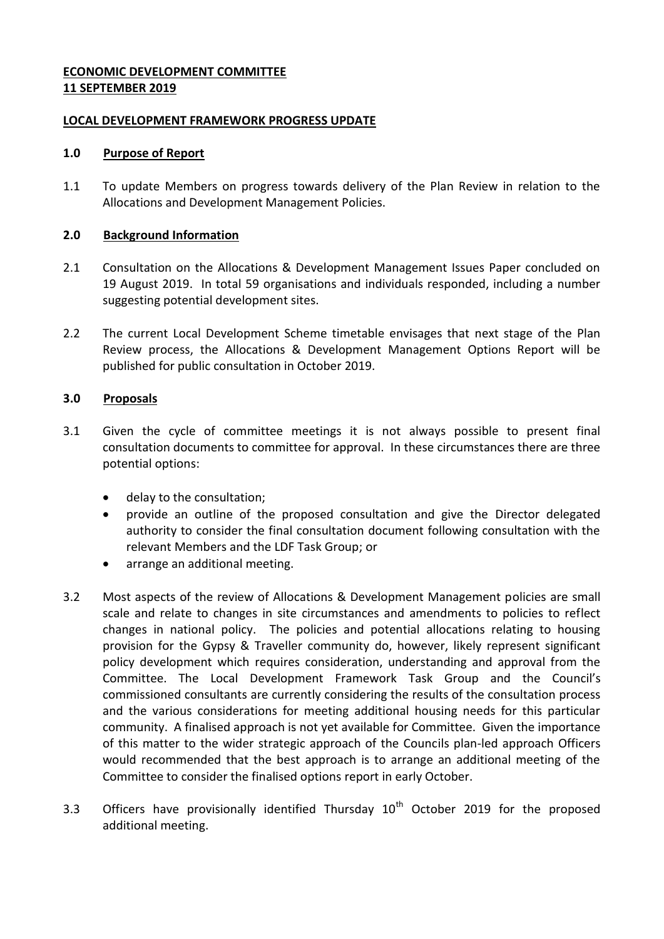### **ECONOMIC DEVELOPMENT COMMITTEE 11 SEPTEMBER 2019**

### **LOCAL DEVELOPMENT FRAMEWORK PROGRESS UPDATE**

#### **1.0 Purpose of Report**

1.1 To update Members on progress towards delivery of the Plan Review in relation to the Allocations and Development Management Policies.

#### **2.0 Background Information**

- 2.1 Consultation on the Allocations & Development Management Issues Paper concluded on 19 August 2019. In total 59 organisations and individuals responded, including a number suggesting potential development sites.
- 2.2 The current Local Development Scheme timetable envisages that next stage of the Plan Review process, the Allocations & Development Management Options Report will be published for public consultation in October 2019.

### **3.0 Proposals**

- 3.1 Given the cycle of committee meetings it is not always possible to present final consultation documents to committee for approval. In these circumstances there are three potential options:
	- delay to the consultation;
	- provide an outline of the proposed consultation and give the Director delegated authority to consider the final consultation document following consultation with the relevant Members and the LDF Task Group; or
	- arrange an additional meeting.
- 3.2 Most aspects of the review of Allocations & Development Management policies are small scale and relate to changes in site circumstances and amendments to policies to reflect changes in national policy. The policies and potential allocations relating to housing provision for the Gypsy & Traveller community do, however, likely represent significant policy development which requires consideration, understanding and approval from the Committee. The Local Development Framework Task Group and the Council's commissioned consultants are currently considering the results of the consultation process and the various considerations for meeting additional housing needs for this particular community. A finalised approach is not yet available for Committee. Given the importance of this matter to the wider strategic approach of the Councils plan-led approach Officers would recommended that the best approach is to arrange an additional meeting of the Committee to consider the finalised options report in early October.
- 3.3 Officers have provisionally identified Thursday  $10<sup>th</sup>$  October 2019 for the proposed additional meeting.